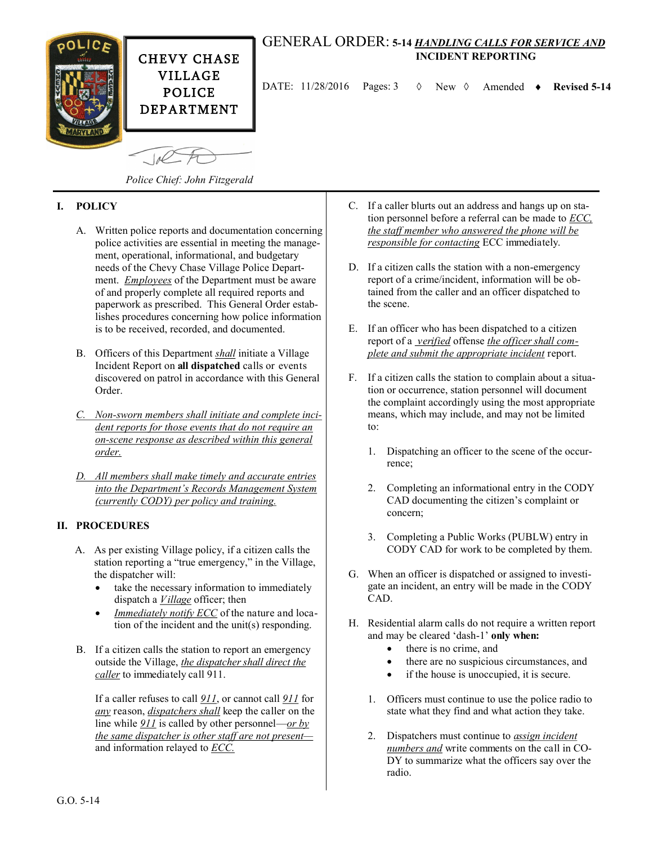

## GENERAL ORDER: **5-14** *HANDLING CALLS FOR SERVICE AND*  **INCIDENT REPORTING**

DATE:  $11/28/2016$  Pages: 3  $\Diamond$  New  $\Diamond$  Amended  $\bullet$  Revised 5-14

*Police Chief: John Fitzgerald*

## **I. POLICY**

- A. Written police reports and documentation concerning police activities are essential in meeting the management, operational, informational, and budgetary needs of the Chevy Chase Village Police Department. *Employees* of the Department must be aware of and properly complete all required reports and paperwork as prescribed. This General Order establishes procedures concerning how police information is to be received, recorded, and documented.
- B. Officers of this Department *shall* initiate a Village Incident Report on **all dispatched** calls or events discovered on patrol in accordance with this General Order.
- *C. Non-sworn members shall initiate and complete incident reports for those events that do not require an on-scene response as described within this general order.*
- *D. All members shall make timely and accurate entries into the Department's Records Management System (currently CODY) per policy and training.*

## **II. PROCEDURES**

- A. As per existing Village policy, if a citizen calls the station reporting a "true emergency," in the Village, the dispatcher will:
	- take the necessary information to immediately dispatch a *Village* officer; then
	- *Immediately notify ECC* of the nature and location of the incident and the unit(s) responding.
- B. If a citizen calls the station to report an emergency outside the Village, *the dispatcher shall direct the caller* to immediately call 911.

If a caller refuses to call *911*, or cannot call *911* for *any* reason, *dispatchers shall* keep the caller on the line while *911* is called by other personnel—*or by the same dispatcher is other staff are not present* and information relayed to *ECC.*

- C. If a caller blurts out an address and hangs up on station personnel before a referral can be made to *ECC, the staff member who answered the phone will be responsible for contacting* ECC immediately.
- D. If a citizen calls the station with a non-emergency report of a crime/incident, information will be obtained from the caller and an officer dispatched to the scene.
- E. If an officer who has been dispatched to a citizen report of a *verified* offense *the officer shall complete and submit the appropriate incident* report.
- F. If a citizen calls the station to complain about a situation or occurrence, station personnel will document the complaint accordingly using the most appropriate means, which may include, and may not be limited to:
	- 1. Dispatching an officer to the scene of the occurrence;
	- 2. Completing an informational entry in the CODY CAD documenting the citizen's complaint or concern;
	- 3. Completing a Public Works (PUBLW) entry in CODY CAD for work to be completed by them.
- G. When an officer is dispatched or assigned to investigate an incident, an entry will be made in the CODY CAD.
- H. Residential alarm calls do not require a written report and may be cleared 'dash-1' **only when:**
	- there is no crime, and
	- there are no suspicious circumstances, and
	- if the house is unoccupied, it is secure.
	- 1. Officers must continue to use the police radio to state what they find and what action they take.
	- 2. Dispatchers must continue to *assign incident numbers and* write comments on the call in CO-DY to summarize what the officers say over the radio.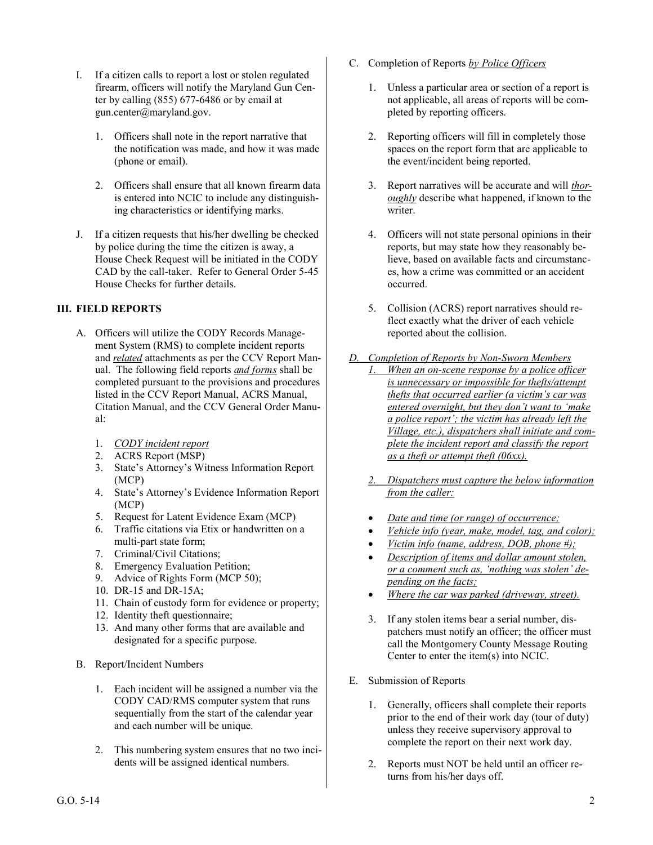- I. If a citizen calls to report a lost or stolen regulated firearm, officers will notify the Maryland Gun Center by calling (855) 677-6486 or by email at gun.center@maryland.gov.
	- 1. Officers shall note in the report narrative that the notification was made, and how it was made (phone or email).
	- 2. Officers shall ensure that all known firearm data is entered into NCIC to include any distinguishing characteristics or identifying marks.
- J. If a citizen requests that his/her dwelling be checked by police during the time the citizen is away, a House Check Request will be initiated in the CODY CAD by the call-taker. Refer to General Order 5-45 House Checks for further details.

## **III. FIELD REPORTS**

- A. Officers will utilize the CODY Records Management System (RMS) to complete incident reports and *related* attachments as per the CCV Report Manual. The following field reports *and forms* shall be completed pursuant to the provisions and procedures listed in the CCV Report Manual, ACRS Manual, Citation Manual, and the CCV General Order Manual:
	- 1. *CODY incident report*
	- 2. ACRS Report (MSP)
	- 3. State's Attorney's Witness Information Report (MCP)
	- 4. State's Attorney's Evidence Information Report (MCP)
	- 5. Request for Latent Evidence Exam (MCP)
	- 6. Traffic citations via Etix or handwritten on a multi-part state form;
	- 7. Criminal/Civil Citations;
	- 8. Emergency Evaluation Petition;
	- 9. Advice of Rights Form (MCP 50);
	- 10. DR-15 and DR-15A;
	- 11. Chain of custody form for evidence or property;
	- 12. Identity theft questionnaire;
	- 13. And many other forms that are available and designated for a specific purpose.
- B. Report/Incident Numbers
	- 1. Each incident will be assigned a number via the CODY CAD/RMS computer system that runs sequentially from the start of the calendar year and each number will be unique.
	- 2. This numbering system ensures that no two incidents will be assigned identical numbers.
- C. Completion of Reports *by Police Officers*
	- 1. Unless a particular area or section of a report is not applicable, all areas of reports will be completed by reporting officers.
	- 2. Reporting officers will fill in completely those spaces on the report form that are applicable to the event/incident being reported.
	- 3. Report narratives will be accurate and will *thoroughly* describe what happened, if known to the writer.
	- 4. Officers will not state personal opinions in their reports, but may state how they reasonably believe, based on available facts and circumstances, how a crime was committed or an accident occurred.
	- 5. Collision (ACRS) report narratives should reflect exactly what the driver of each vehicle reported about the collision.
- *D. Completion of Reports by Non-Sworn Members 1. When an on-scene response by a police officer is unnecessary or impossible for thefts/attempt thefts that occurred earlier (a victim's car was entered overnight, but they don't want to 'make a police report'; the victim has already left the Village, etc.), dispatchers shall initiate and complete the incident report and classify the report as a theft or attempt theft (06xx).*
	- *2. Dispatchers must capture the below information from the caller:*
	- *Date and time (or range) of occurrence;*
	- *Vehicle info (year, make, model, tag, and color);*
	- *Victim info (name, address, DOB, phone #);*
	- *Description of items and dollar amount stolen, or a comment such as, 'nothing was stolen' depending on the facts;*
	- *Where the car was parked (driveway, street).*
	- 3. If any stolen items bear a serial number, dispatchers must notify an officer; the officer must call the Montgomery County Message Routing Center to enter the item(s) into NCIC.
- E. Submission of Reports
	- 1. Generally, officers shall complete their reports prior to the end of their work day (tour of duty) unless they receive supervisory approval to complete the report on their next work day.
	- 2. Reports must NOT be held until an officer returns from his/her days off.